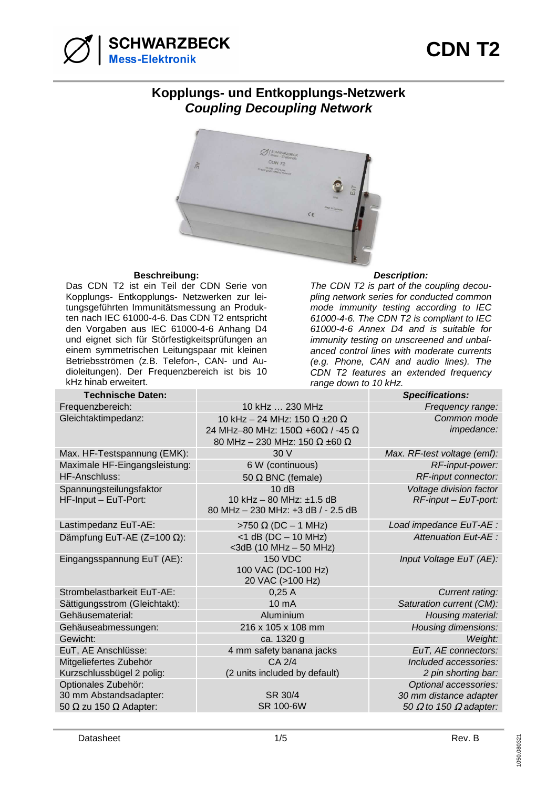

## **Kopplungs- und Entkopplungs-Netzwerk Coupling Decoupling Network**



## **Beschreibung: Description:**

Das CDN T2 ist ein Teil der CDN Serie von Kopplungs- Entkopplungs- Netzwerken zur leitungsgeführten Immunitätsmessung an Produkten nach IEC 61000-4-6. Das CDN T2 entspricht den Vorgaben aus IEC 61000-4-6 Anhang D4 und eignet sich für Störfestigkeitsprüfungen an einem symmetrischen Leitungspaar mit kleinen Betriebsströmen (z.B. Telefon-, CAN- und Audioleitungen). Der Frequenzbereich ist bis 10 kHz hinab erweitert.

The CDN T2 is part of the coupling decoupling network series for conducted common mode immunity testing according to IEC 61000-4-6. The CDN T2 is compliant to IEC 61000-4-6 Annex D4 and is suitable for immunity testing on unscreened and unbalanced control lines with moderate currents (e.g. Phone, CAN and audio lines). The CDN T2 features an extended frequency range down to 10 kHz.

| <b>Technische Daten:</b>             |                                                        | <b>Specifications:</b>               |
|--------------------------------------|--------------------------------------------------------|--------------------------------------|
| Frequenzbereich:                     | 10 kHz  230 MHz                                        | Frequency range:                     |
| Gleichtaktimpedanz:                  | 10 kHz - 24 MHz: 150 $\Omega$ ±20 $\Omega$             | Common mode                          |
|                                      | 24 MHz-80 MHz: $150\Omega$ +60 $\Omega$ / -45 $\Omega$ | impedance:                           |
|                                      | 80 MHz - 230 MHz: 150 $\Omega$ ±60 $\Omega$            |                                      |
| Max. HF-Testspannung (EMK):          | 30V                                                    | Max. RF-test voltage (emf):          |
| Maximale HF-Eingangsleistung:        | 6 W (continuous)                                       | RF-input-power:                      |
| <b>HF-Anschluss:</b>                 | 50 $\Omega$ BNC (female)                               | RF-input connector:                  |
| Spannungsteilungsfaktor              | 10dB                                                   | Voltage division factor              |
| HF-Input - EuT-Port:                 | 10 kHz - 80 MHz: ±1.5 dB                               | RF-input - EuT-port:                 |
|                                      | 80 MHz - 230 MHz: +3 dB / - 2.5 dB                     |                                      |
| Lastimpedanz EuT-AE:                 | >750 $\Omega$ (DC - 1 MHz)                             | Load impedance EuT-AE :              |
| Dämpfung EuT-AE ( $Z=100 \Omega$ ):  | $<$ 1 dB (DC $-$ 10 MHz)                               | Attenuation Eut-AE :                 |
|                                      | $<$ 3dB (10 MHz $-$ 50 MHz)                            |                                      |
| Eingangsspannung EuT (AE):           | <b>150 VDC</b>                                         | Input Voltage EuT (AE):              |
|                                      | 100 VAC (DC-100 Hz)                                    |                                      |
|                                      | 20 VAC (>100 Hz)                                       |                                      |
| Strombelastbarkeit EuT-AE:           | 0,25A                                                  | Current rating:                      |
| Sättigungsstrom (Gleichtakt):        | 10 <sub>m</sub> A                                      | Saturation current (CM):             |
| Gehäusematerial:                     | Aluminium                                              | Housing material:                    |
| Gehäuseabmessungen:                  | 216 x 105 x 108 mm                                     | Housing dimensions:                  |
| Gewicht:                             | ca. 1320 g                                             | Weight:                              |
| EuT, AE Anschlüsse:                  | 4 mm safety banana jacks                               | EuT, AE connectors:                  |
| Mitgeliefertes Zubehör               | CA 2/4                                                 | Included accessories:                |
| Kurzschlussbügel 2 polig:            | (2 units included by default)                          | 2 pin shorting bar:                  |
| Optionales Zubehör:                  |                                                        | Optional accessories:                |
| 30 mm Abstandsadapter:               | SR 30/4                                                | 30 mm distance adapter               |
| 50 $\Omega$ zu 150 $\Omega$ Adapter: | SR 100-6W                                              | 50 $\Omega$ to 150 $\Omega$ adapter: |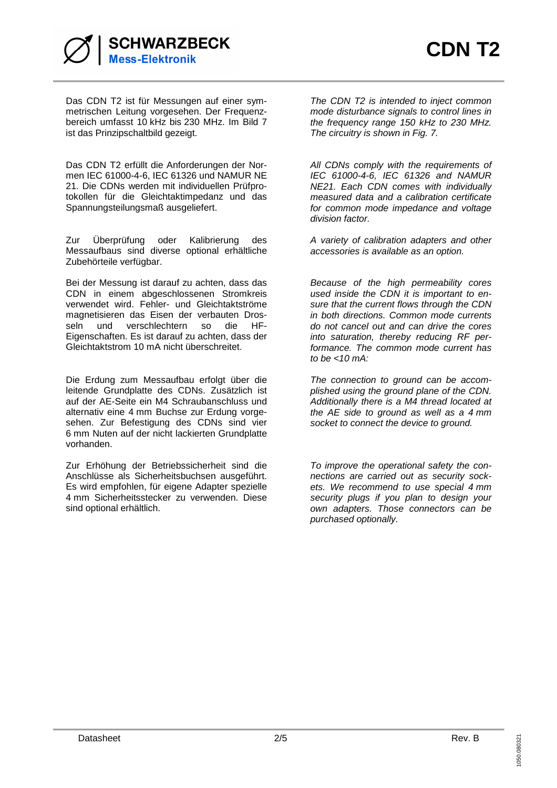

Das CDN T2 ist für Messungen auf einer symmetrischen Leitung vorgesehen. Der Frequenzbereich umfasst 10 kHz bis 230 MHz. Im Bild 7 ist das Prinzipschaltbild gezeigt.

Das CDN T2 erfüllt die Anforderungen der Normen IEC 61000-4-6, IEC 61326 und NAMUR NE 21. Die CDNs werden mit individuellen Prüfprotokollen für die Gleichtaktimpedanz und das Spannungsteilungsmaß ausgeliefert.

Zur Überprüfung oder Kalibrierung des Messaufbaus sind diverse optional erhältliche Zubehörteile verfügbar.

Bei der Messung ist darauf zu achten, dass das CDN in einem abgeschlossenen Stromkreis verwendet wird. Fehler- und Gleichtaktströme magnetisieren das Eisen der verbauten Drosseln und verschlechtern so die HF-Eigenschaften. Es ist darauf zu achten, dass der Gleichtaktstrom 10 mA nicht überschreitet.

Die Erdung zum Messaufbau erfolgt über die leitende Grundplatte des CDNs. Zusätzlich ist auf der AE-Seite ein M4 Schraubanschluss und alternativ eine 4 mm Buchse zur Erdung vorgesehen. Zur Befestigung des CDNs sind vier 6 mm Nuten auf der nicht lackierten Grundplatte vorhanden.

Zur Erhöhung der Betriebssicherheit sind die Anschlüsse als Sicherheitsbuchsen ausgeführt. Es wird empfohlen, für eigene Adapter spezielle 4 mm Sicherheitsstecker zu verwenden. Diese sind optional erhältlich.

The CDN T2 is intended to inject common mode disturbance signals to control lines in the frequency range 150 kHz to 230 MHz. The circuitry is shown in Fig. 7.

All CDNs comply with the requirements of IEC 61000-4-6, IEC 61326 and NAMUR NE21. Each CDN comes with individually measured data and a calibration certificate for common mode impedance and voltage division factor.

A variety of calibration adapters and other accessories is available as an option.

Because of the high permeability cores used inside the CDN it is important to ensure that the current flows through the CDN in both directions. Common mode currents do not cancel out and can drive the cores into saturation, thereby reducing RF performance. The common mode current has to be  $<10$  mA:

The connection to ground can be accomplished using the ground plane of the CDN. Additionally there is a M4 thread located at the AE side to ground as well as a 4 mm socket to connect the device to ground.

To improve the operational safety the connections are carried out as security sockets. We recommend to use special 4 mm security plugs if you plan to design your own adapters. Those connectors can be purchased optionally.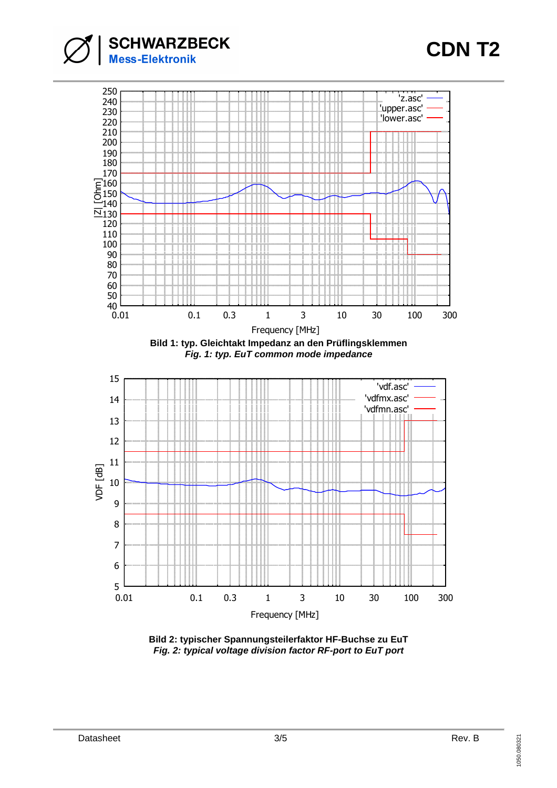

## **CDN T2**



**Bild 2: typischer Spannungsteilerfaktor HF-Buchse zu EuT Fig. 2: typical voltage division factor RF-port to EuT port**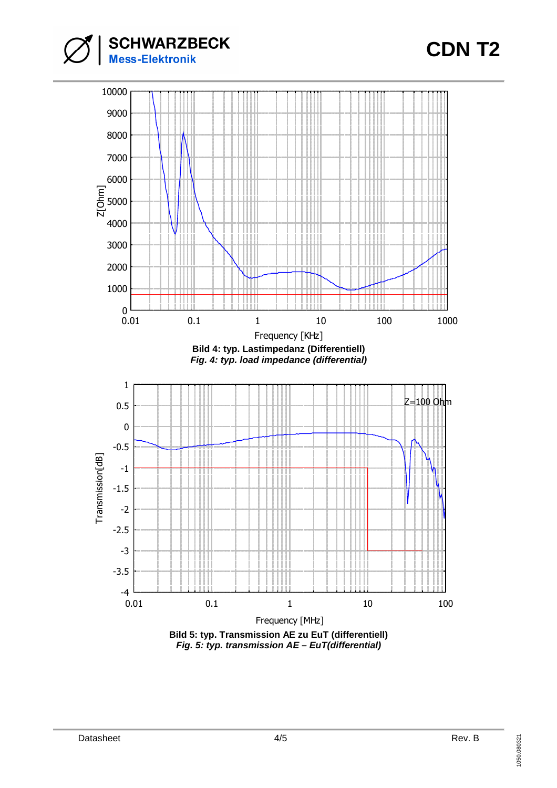





**Fig. 5: typ. transmission AE – EuT(differential)**